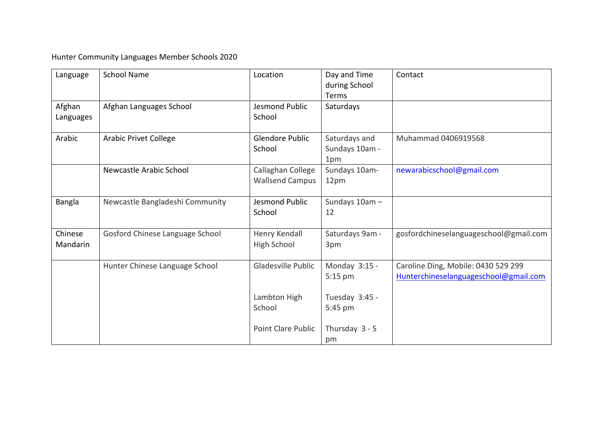Hunter Community Languages Member Schools 2020

| Language            | <b>School Name</b>              | Location                                    | Day and Time<br>during School<br>Terms | Contact                                                                      |
|---------------------|---------------------------------|---------------------------------------------|----------------------------------------|------------------------------------------------------------------------------|
| Afghan<br>Languages | Afghan Languages School         | <b>Jesmond Public</b><br>School             | Saturdays                              |                                                                              |
| Arabic              | <b>Arabic Privet College</b>    | <b>Glendore Public</b><br>School            | Saturdays and<br>Sundays 10am -<br>1pm | Muhammad 0406919568                                                          |
|                     | Newcastle Arabic School         | Callaghan College<br><b>Wallsend Campus</b> | Sundays 10am-<br>12pm                  | newarabicschool@gmail.com                                                    |
| Bangla              | Newcastle Bangladeshi Community | Jesmond Public<br>School                    | Sundays 10am-<br>12                    |                                                                              |
| Chinese<br>Mandarin | Gosford Chinese Language School | Henry Kendall<br><b>High School</b>         | Saturdays 9am -<br>3pm                 | gosfordchineselanguageschool@gmail.com                                       |
|                     | Hunter Chinese Language School  | Gladesville Public                          | Monday 3:15 -<br>5:15 pm               | Caroline Ding, Mobile: 0430 529 299<br>Hunterchineselanguageschool@gmail.com |
|                     |                                 | Lambton High<br>School                      | Tuesday 3:45 -<br>5:45 pm              |                                                                              |
|                     |                                 | <b>Point Clare Public</b>                   | Thursday 3 - 5<br>pm                   |                                                                              |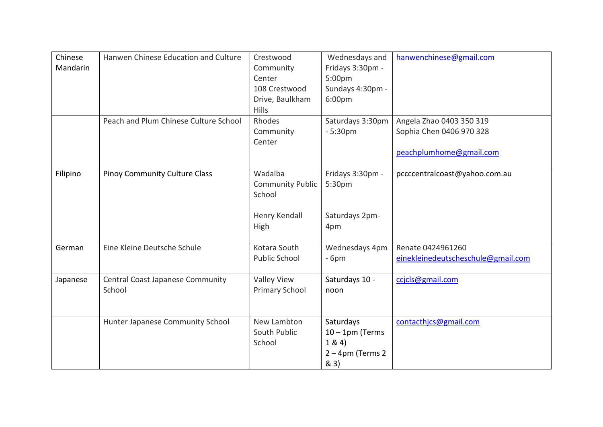| Chinese<br>Mandarin | Hanwen Chinese Education and Culture              | Crestwood<br>Community<br>Center<br>108 Crestwood<br>Drive, Baulkham<br><b>Hills</b> | Wednesdays and<br>Fridays 3:30pm -<br>5:00pm<br>Sundays 4:30pm -<br>6:00 <sub>pm</sub> | hanwenchinese@gmail.com                                                         |
|---------------------|---------------------------------------------------|--------------------------------------------------------------------------------------|----------------------------------------------------------------------------------------|---------------------------------------------------------------------------------|
|                     | Peach and Plum Chinese Culture School             | Rhodes<br>Community<br>Center                                                        | Saturdays 3:30pm<br>$-5:30pm$                                                          | Angela Zhao 0403 350 319<br>Sophia Chen 0406 970 328<br>peachplumhome@gmail.com |
| Filipino            | <b>Pinoy Community Culture Class</b>              | Wadalba<br><b>Community Public</b><br>School<br>Henry Kendall<br>High                | Fridays 3:30pm -<br>5:30pm<br>Saturdays 2pm-<br>4pm                                    | pccccentralcoast@yahoo.com.au                                                   |
| German              | Eine Kleine Deutsche Schule                       | Kotara South<br><b>Public School</b>                                                 | Wednesdays 4pm<br>$-6pm$                                                               | Renate 0424961260<br>einekleinedeutscheschule@gmail.com                         |
| Japanese            | <b>Central Coast Japanese Community</b><br>School | <b>Valley View</b><br><b>Primary School</b>                                          | Saturdays 10 -<br>noon                                                                 | ccjcls@gmail.com                                                                |
|                     | Hunter Japanese Community School                  | New Lambton<br>South Public<br>School                                                | Saturdays<br>$10 - 1$ pm (Terms<br>1 & 4)<br>$2 - 4$ pm (Terms 2<br>& 3)               | contacthics@gmail.com                                                           |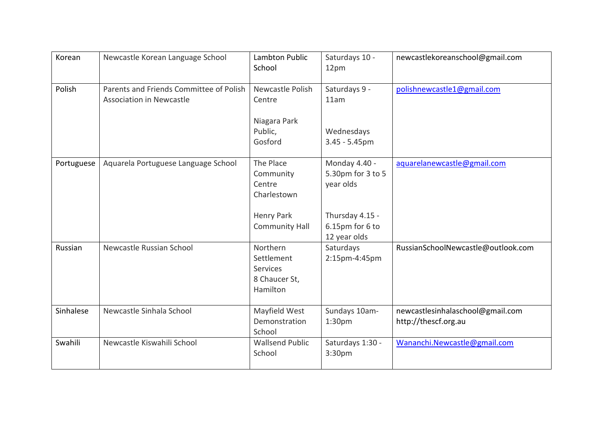| Korean     | Newcastle Korean Language School                                           | Lambton Public<br>School                                                                      | Saturdays 10 -<br>12pm                                                                                | newcastlekoreanschool@gmail.com                          |
|------------|----------------------------------------------------------------------------|-----------------------------------------------------------------------------------------------|-------------------------------------------------------------------------------------------------------|----------------------------------------------------------|
| Polish     | Parents and Friends Committee of Polish<br><b>Association in Newcastle</b> | Newcastle Polish<br>Centre<br>Niagara Park<br>Public,<br>Gosford                              | Saturdays 9 -<br>11am<br>Wednesdays<br>$3.45 - 5.45$ pm                                               | polishnewcastle1@gmail.com                               |
| Portuguese | Aquarela Portuguese Language School                                        | The Place<br>Community<br>Centre<br>Charlestown<br><b>Henry Park</b><br><b>Community Hall</b> | Monday 4.40 -<br>5.30pm for 3 to 5<br>year olds<br>Thursday 4.15 -<br>6.15pm for 6 to<br>12 year olds | aquarelanewcastle@gmail.com                              |
| Russian    | Newcastle Russian School                                                   | Northern<br>Settlement<br><b>Services</b><br>8 Chaucer St,<br>Hamilton                        | Saturdays<br>2:15pm-4:45pm                                                                            | RussianSchoolNewcastle@outlook.com                       |
| Sinhalese  | Newcastle Sinhala School                                                   | Mayfield West<br>Demonstration<br>School                                                      | Sundays 10am-<br>1:30 <sub>pm</sub>                                                                   | newcastlesinhalaschool@gmail.com<br>http://thescf.org.au |
| Swahili    | Newcastle Kiswahili School                                                 | <b>Wallsend Public</b><br>School                                                              | Saturdays 1:30 -<br>3:30pm                                                                            | Wananchi.Newcastle@gmail.com                             |